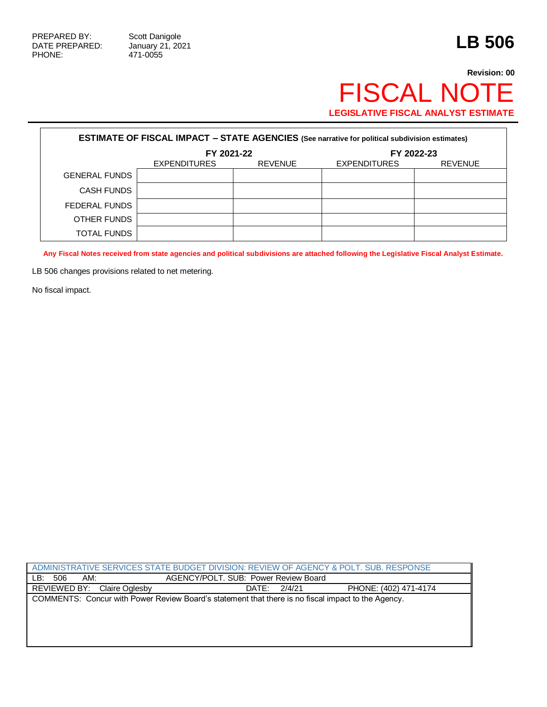471-0055

## **Revision: 00** FISCAL NOTE **LEGISLATIVE FISCAL ANALYST ESTIMATE**

| <b>ESTIMATE OF FISCAL IMPACT - STATE AGENCIES</b> (See narrative for political subdivision estimates) |                     |                |                     |                |  |
|-------------------------------------------------------------------------------------------------------|---------------------|----------------|---------------------|----------------|--|
|                                                                                                       | FY 2021-22          |                | FY 2022-23          |                |  |
|                                                                                                       | <b>EXPENDITURES</b> | <b>REVENUE</b> | <b>EXPENDITURES</b> | <b>REVENUE</b> |  |
| <b>GENERAL FUNDS</b>                                                                                  |                     |                |                     |                |  |
| CASH FUNDS                                                                                            |                     |                |                     |                |  |
| FEDERAL FUNDS                                                                                         |                     |                |                     |                |  |
| OTHER FUNDS                                                                                           |                     |                |                     |                |  |
| TOTAL FUNDS                                                                                           |                     |                |                     |                |  |

**Any Fiscal Notes received from state agencies and political subdivisions are attached following the Legislative Fiscal Analyst Estimate.**

LB 506 changes provisions related to net metering.

No fiscal impact.

| ADMINISTRATIVE SERVICES STATE BUDGET DIVISION: REVIEW OF AGENCY & POLT. SUB. RESPONSE              |                |                                      |        |                       |  |
|----------------------------------------------------------------------------------------------------|----------------|--------------------------------------|--------|-----------------------|--|
| AM:<br>LB:<br>506                                                                                  |                | AGENCY/POLT. SUB: Power Review Board |        |                       |  |
| REVIEWED BY:                                                                                       | Claire Oglesby | DATE:                                | 2/4/21 | PHONE: (402) 471-4174 |  |
| COMMENTS: Concur with Power Review Board's statement that there is no fiscal impact to the Agency. |                |                                      |        |                       |  |
|                                                                                                    |                |                                      |        |                       |  |
|                                                                                                    |                |                                      |        |                       |  |
|                                                                                                    |                |                                      |        |                       |  |
|                                                                                                    |                |                                      |        |                       |  |